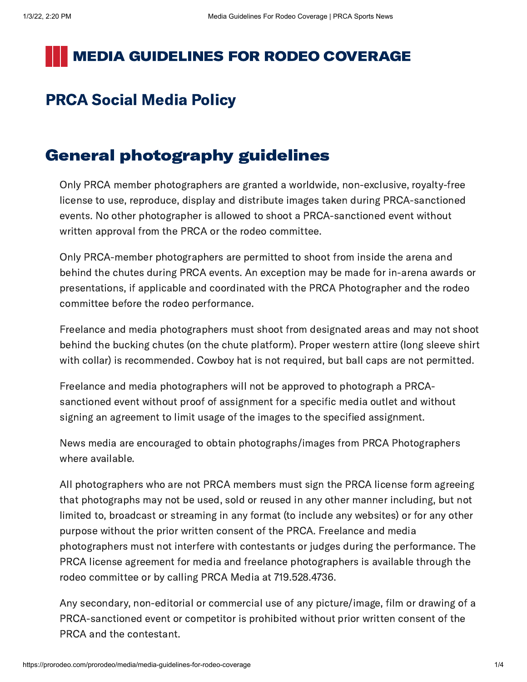### **MEDIA GUIDELINES FOR RODEO COVERAGE**

### PRCA Social Media Policy

#### General photography guidelines

Only PRCA member photographers are granted a worldwide, non-exclusive, royalty-free license to use, reproduce, display and distribute images taken during PRCA-sanctioned events. No other photographer is allowed to shoot a PRCA-sanctioned event without written approval from the PRCA or the rodeo committee.

Only PRCA-member photographers are permitted to shoot from inside the arena and behind the chutes during PRCA events. An exception may be made for in-arena awards or presentations, if applicable and coordinated with the PRCA Photographer and the rodeo committee before the rodeo performance.

Freelance and media photographers must shoot from designated areas and may not shoot behind the bucking chutes (on the chute platform). Proper western attire (long sleeve shirt with collar) is recommended. Cowboy hat is not required, but ball caps are not permitted.

Freelance and media photographers will not be approved to photograph a PRCAsanctioned event without proof of assignment for a specific media outlet and without signing an agreement to limit usage of the images to the specified assignment.

News media are encouraged to obtain photographs/images from PRCA Photographers where available.

All photographers who are not PRCA members must sign the PRCA license form agreeing that photographs may not be used, sold or reused in any other manner including, but not limited to, broadcast or streaming in any format (to include any websites) or for any other purpose without the prior written consent of the PRCA. Freelance and media photographers must not interfere with contestants or judges during the performance. The PRCA license agreement for media and freelance photographers is available through the rodeo committee or by calling PRCA Media at 719.528.4736.

Any secondary, non-editorial or commercial use of any picture/image, film or drawing of a PRCA-sanctioned event or competitor is prohibited without prior written consent of the PRCA and the contestant.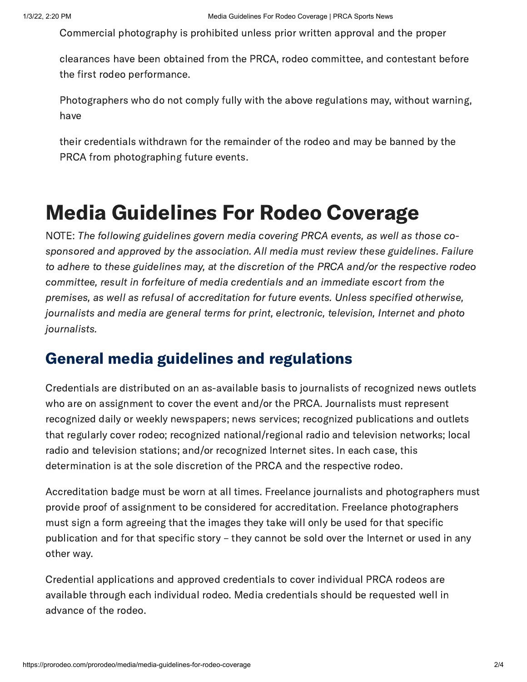Commercial photography is prohibited unless prior written approval and the proper

clearances have been obtained from the PRCA, rodeo committee, and contestant before the first rodeo performance.

Photographers who do not comply fully with the above regulations may, without warning, have

their credentials withdrawn for the remainder of the rodeo and may be banned by the PRCA from photographing future events.

# Media Guidelines For Rodeo Coverage

NOTE: The following guidelines govern media covering PRCA events, as well as those cosponsored and approved by the association. All media must review these guidelines. Failure to adhere to these guidelines may, at the discretion of the PRCA and/or the respective rodeo committee, result in forfeiture of media credentials and an immediate escort from the premises, as well as refusal of accreditation for future events. Unless specified otherwise, journalists and media are general terms for print, electronic, television, Internet and photo journalists.

#### General media guidelines and regulations

Credentials are distributed on an as-available basis to journalists of recognized news outlets who are on assignment to cover the event and/or the PRCA. Journalists must represent recognized daily or weekly newspapers; news services; recognized publications and outlets that regularly cover rodeo; recognized national/regional radio and television networks; local radio and television stations; and/or recognized Internet sites. In each case, this determination is at the sole discretion of the PRCA and the respective rodeo.

Accreditation badge must be worn at all times. Freelance journalists and photographers must provide proof of assignment to be considered for accreditation. Freelance photographers must sign a form agreeing that the images they take will only be used for that specific publication and for that specific story – they cannot be sold over the Internet or used in any other way.

Credential applications and approved credentials to cover individual PRCA rodeos are available through each individual rodeo. Media credentials should be requested well in advance of the rodeo.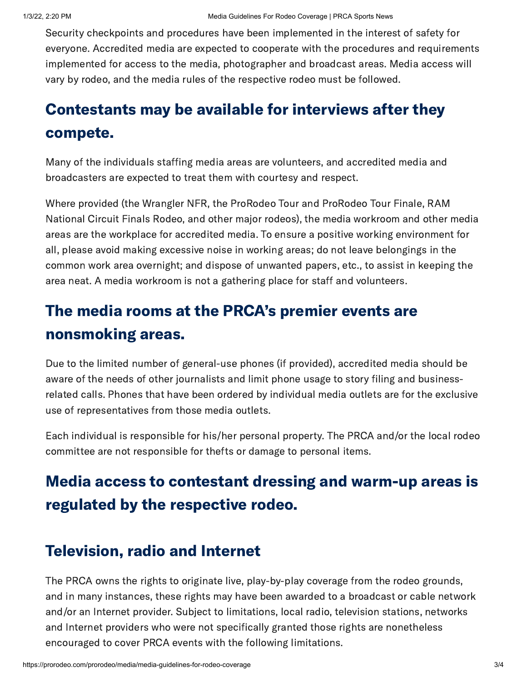Security checkpoints and procedures have been implemented in the interest of safety for everyone. Accredited media are expected to cooperate with the procedures and requirements implemented for access to the media, photographer and broadcast areas. Media access will vary by rodeo, and the media rules of the respective rodeo must be followed.

# Contestants may be available for interviews after they compete.

Many of the individuals staffing media areas are volunteers, and accredited media and broadcasters are expected to treat them with courtesy and respect.

Where provided (the Wrangler NFR, the ProRodeo Tour and ProRodeo Tour Finale, RAM National Circuit Finals Rodeo, and other major rodeos), the media workroom and other media areas are the workplace for accredited media. To ensure a positive working environment for all, please avoid making excessive noise in working areas; do not leave belongings in the common work area overnight; and dispose of unwanted papers, etc., to assist in keeping the area neat. A media workroom is not a gathering place for staff and volunteers.

### The media rooms at the PRCA's premier events are nonsmoking areas.

Due to the limited number of general-use phones (if provided), accredited media should be aware of the needs of other journalists and limit phone usage to story filing and businessrelated calls. Phones that have been ordered by individual media outlets are for the exclusive use of representatives from those media outlets.

Each individual is responsible for his/her personal property. The PRCA and/or the local rodeo committee are not responsible for thefts or damage to personal items.

## Media access to contestant dressing and warm-up areas is regulated by the respective rodeo.

#### Television, radio and Internet

The PRCA owns the rights to originate live, play-by-play coverage from the rodeo grounds, and in many instances, these rights may have been awarded to a broadcast or cable network and/or an Internet provider. Subject to limitations, local radio, television stations, networks and Internet providers who were not specifically granted those rights are nonetheless encouraged to cover PRCA events with the following limitations.